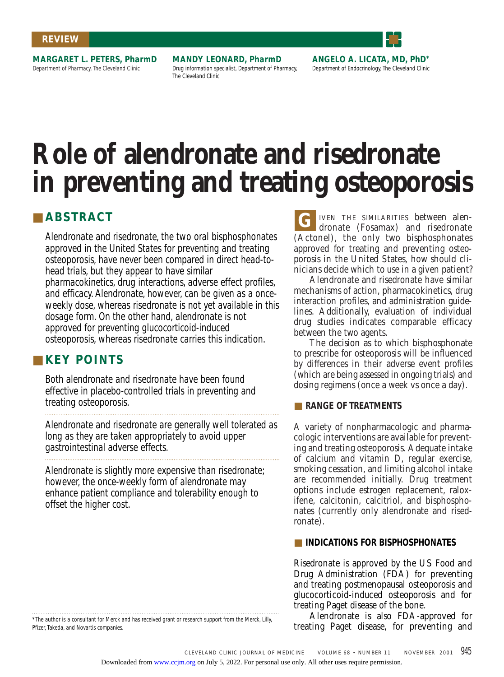#### **REVIEW**

**MARGARET L. PETERS, PharmD** Department of Pharmacy, The Cleveland Clinic

**MANDY LEONARD, PharmD** Drug information specialist, Department of Pharmacy, The Cleveland Clinic

**ANGELO A. LICATA, MD, PhD\*** Department of Endocrinology, The Cleveland Clinic

# **Role of alendronate and risedronate in preventing and treating osteoporosis**

# ■ **ABSTRACT G**

Alendronate and risedronate, the two oral bisphosphonates approved in the United States for preventing and treating osteoporosis, have never been compared in direct head-tohead trials, but they appear to have similar pharmacokinetics, drug interactions, adverse effect profiles, and efficacy. Alendronate, however, can be given as a onceweekly dose, whereas risedronate is not yet available in this dosage form. On the other hand, alendronate is not approved for preventing glucocorticoid-induced osteoporosis, whereas risedronate carries this indication.

# ■ **KEY POINTS**

Both alendronate and risedronate have been found effective in placebo-controlled trials in preventing and treating osteoporosis.

Alendronate and risedronate are generally well tolerated as long as they are taken appropriately to avoid upper gastrointestinal adverse effects.

Alendronate is slightly more expensive than risedronate; however, the once-weekly form of alendronate may enhance patient compliance and tolerability enough to offset the higher cost.

\*The author is a consultant for Merck and has received grant or research support from the Merck, Lilly, Pfizer, Takeda, and Novartis companies.

IVEN THE SIMILARITIES between alendronate (Fosamax) and risedronate (Actonel), the only two bisphosphonates approved for treating and preventing osteoporosis in the United States, how should clinicians decide which to use in a given patient?

Alendronate and risedronate have similar mechanisms of action, pharmacokinetics, drug interaction profiles, and administration guidelines. Additionally, evaluation of individual drug studies indicates comparable efficacy between the two agents.

The decision as to which bisphosphonate to prescribe for osteoporosis will be influenced by differences in their adverse event profiles (which are being assessed in ongoing trials) and dosing regimens (once a week vs once a day).

# ■ **RANGE OF TREATMENTS**

A variety of nonpharmacologic and pharmacologic interventions are available for preventing and treating osteoporosis. Adequate intake of calcium and vitamin D, regular exercise, smoking cessation, and limiting alcohol intake are recommended initially. Drug treatment options include estrogen replacement, raloxifene, calcitonin, calcitriol, and bisphosphonates (currently only alendronate and risedronate).

## ■ **INDICATIONS FOR BISPHOSPHONATES**

Risedronate is approved by the US Food and Drug Administration (FDA) for preventing and treating postmenopausal osteoporosis and glucocorticoid-induced osteoporosis and for treating Paget disease of the bone.

Alendronate is also FDA-approved for treating Paget disease, for preventing and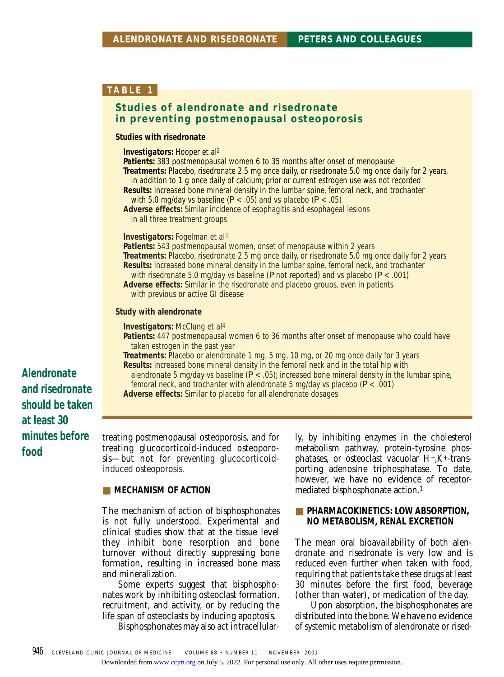# **Studies of alendronate and risedronate in preventing postmenopausal osteoporosis**

#### **Studies with risedronate**

**Investigators:** Hooper et al2

- **Patients:** 383 postmenopausal women 6 to 35 months after onset of menopause
- **Treatments:** Placebo, risedronate 2.5 mg once daily, or risedronate 5.0 mg once daily for 2 years, in addition to 1 g once daily of calcium; prior or current estrogen use was not recorded
- **Results:** Increased bone mineral density in the lumbar spine, femoral neck, and trochanter with 5.0 mg/day vs baseline  $(P < .05)$  and vs placebo  $(P < .05)$

**Adverse effects:** Similar incidence of esophagitis and esophageal lesions in all three treatment groups

**Investigators:** Fogelman et al3

**Patients:** 543 postmenopausal women, onset of menopause within 2 years **Treatments:** Placebo, risedronate 2.5 mg once daily, or risedronate 5.0 mg once daily for 2 years **Results:** Increased bone mineral density in the lumbar spine, femoral neck, and trochanter with risedronate 5.0 mg/day vs baseline (*P* not reported) and vs placebo (*P* < .001) **Adverse effects:** Similar in the risedronate and placebo groups, even in patients

with previous or active GI disease

#### **Study with alendronate**

**Investigators:** McClung et al<sup>4</sup>

- **Patients:** 447 postmenopausal women 6 to 36 months after onset of menopause who could have taken estrogen in the past year
- **Treatments:** Placebo or alendronate 1 mg, 5 mg, 10 mg, or 20 mg once daily for 3 years **Results:** Increased bone mineral density in the femoral neck and in the total hip with
- alendronate 5 mg/day vs baseline (*P* < .05); increased bone mineral density in the lumbar spine, femoral neck, and trochanter with alendronate 5 mg/day vs placebo (*P* < .001)

**Adverse effects:** Similar to placebo for all alendronate dosages

treating postmenopausal osteoporosis, and for treating glucocorticoid-induced osteoporosis—but not for *preventing* glucocorticoidinduced osteoporosis.

#### **EXECUTE MECHANISM OF ACTION**

The mechanism of action of bisphosphonates is not fully understood. Experimental and clinical studies show that at the tissue level they inhibit bone resorption and bone turnover without directly suppressing bone formation, resulting in increased bone mass and mineralization.

Some experts suggest that bisphosphonates work by inhibiting osteoclast formation, recruitment, and activity, or by reducing the life span of osteoclasts by inducing apoptosis.

Bisphosphonates may also act intracellular-

ly, by inhibiting enzymes in the cholesterol metabolism pathway, protein-tyrosine phosphatases, or osteoclast vacuolar H+,K+-transporting adenosine triphosphatase. To date, however, we have no evidence of receptormediated bisphosphonate action.1

#### ■ **PHARMACOKINETICS: LOW ABSORPTION, NO METABOLISM, RENAL EXCRETION**

The mean oral bioavailability of both alendronate and risedronate is very low and is reduced even further when taken with food, requiring that patients take these drugs at least 30 minutes before the first food, beverage (other than water), or medication of the day.

Upon absorption, the bisphosphonates are distributed into the bone. We have no evidence of systemic metabolism of alendronate or rised-

**Alendronate and risedronate should be taken at least 30 minutes before food**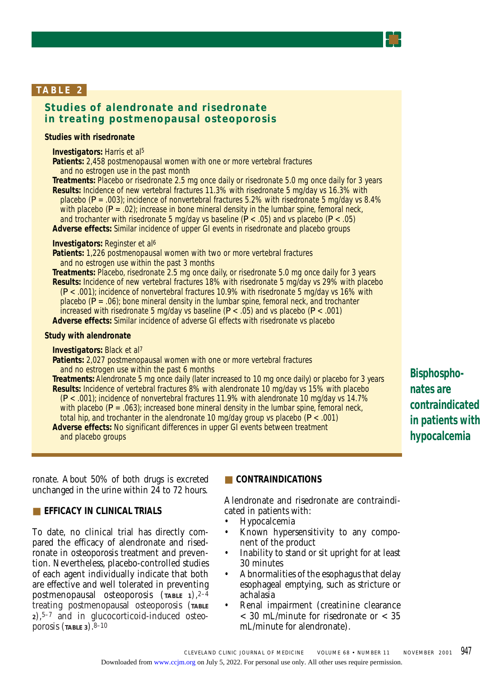# **Studies of alendronate and risedronate in treating postmenopausal osteoporosis**

#### **Studies with risedronate**

**Investigators:** Harris et al5

**Patients:** 2,458 postmenopausal women with one or more vertebral fractures and no estrogen use in the past month

**Treatments:** Placebo or risedronate 2.5 mg once daily or risedronate 5.0 mg once daily for 3 years **Results:** Incidence of new vertebral fractures 11.3% with risedronate 5 mg/day vs 16.3% with placebo (*P* = .003); incidence of nonvertebral fractures 5.2% with risedronate 5 mg/day vs 8.4% with placebo  $(P = .02)$ ; increase in bone mineral density in the lumbar spine, femoral neck, and trochanter with risedronate 5 mg/day vs baseline (*P* < .05) and vs placebo (*P* < .05) **Adverse effects:** Similar incidence of upper GI events in risedronate and placebo groups

**Investigators:** Reginster et al6

**Patients:** 1,226 postmenopausal women with two or more vertebral fractures and no estrogen use within the past 3 months

**Treatments:** Placebo, risedronate 2.5 mg once daily, or risedronate 5.0 mg once daily for 3 years **Results:** Incidence of new vertebral fractures 18% with risedronate 5 mg/day vs 29% with placebo (*P* < .001); incidence of nonvertebral fractures 10.9% with risedronate 5 mg/day vs 16% with placebo  $(P = .06)$ ; bone mineral density in the lumbar spine, femoral neck, and trochanter increased with risedronate 5 mg/day vs baseline (*P* < .05) and vs placebo (*P* < .001)

**Adverse effects:** Similar incidence of adverse GI effects with risedronate vs placebo

#### **Study with alendronate**

**Investigators:** Black et al7

**Patients:** 2,027 postmenopausal women with one or more vertebral fractures and no estrogen use within the past 6 months

**Treatments:** Alendronate 5 mg once daily (later increased to 10 mg once daily) or placebo for 3 years **Results:** Incidence of vertebral fractures 8% with alendronate 10 mg/day vs 15% with placebo (*P* < .001); incidence of nonvertebral fractures 11.9% with alendronate 10 mg/day vs 14.7% with placebo  $(P = .063)$ ; increased bone mineral density in the lumbar spine, femoral neck, total hip, and trochanter in the alendronate 10 mg/day group vs placebo (*P* < .001) **Adverse effects:** No significant differences in upper GI events between treatment and placebo groups

**Bisphosphonates are contraindicated in patients with hypocalcemia**

ronate. About 50% of both drugs is excreted unchanged in the urine within 24 to 72 hours.

# ■ **EFFICACY IN CLINICAL TRIALS**

To date, no clinical trial has directly compared the efficacy of alendronate and risedronate in osteoporosis treatment and prevention. Nevertheless, placebo-controlled studies of each agent individually indicate that both are effective and well tolerated in preventing postmenopausal osteoporosis (**TABLE 1**),2–4 treating postmenopausal osteoporosis (**TABLE <sup>2</sup>**),5–7 and in glucocorticoid-induced osteoporosis  $(TABLE 3)$ .  $8-10$ 

# ■ **CONTRAINDICATIONS**

Alendronate and risedronate are contraindicated in patients with:

- Hypocalcemia
- Known hypersensitivity to any component of the product
- Inability to stand or sit upright for at least 30 minutes
- Abnormalities of the esophagus that delay esophageal emptying, such as stricture or achalasia
- Renal impairment (creatinine clearance < 30 mL/minute for risedronate or < 35 mL/minute for alendronate).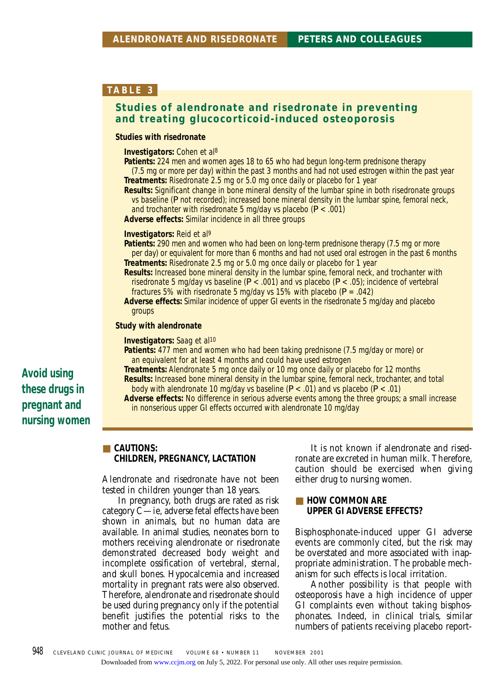# **Studies of alendronate and risedronate in preventing and treating glucocorticoid-induced osteoporosis**

#### **Studies with risedronate**

**Investigators:** Cohen et al8

- **Patients:** 224 men and women ages 18 to 65 who had begun long-term prednisone therapy
- (7.5 mg or more per day) within the past 3 months and had not used estrogen within the past year **Treatments:** Risedronate 2.5 mg or 5.0 mg once daily or placebo for 1 year
- **Results:** Significant change in bone mineral density of the lumbar spine in both risedronate groups vs baseline (*P* not recorded); increased bone mineral density in the lumbar spine, femoral neck, and trochanter with risedronate 5 mg/day vs placebo (*P* < .001)

**Adverse effects:** Similar incidence in all three groups

#### **Investigators:** Reid et al9

**Patients:** 290 men and women who had been on long-term prednisone therapy (7.5 mg or more per day) or equivalent for more than 6 months and had not used oral estrogen in the past 6 months **Treatments:** Risedronate 2.5 mg or 5.0 mg once daily or placebo for 1 year

- **Results:** Increased bone mineral density in the lumbar spine, femoral neck, and trochanter with risedronate 5 mg/day vs baseline (*P* < .001) and vs placebo (*P* < .05); incidence of vertebral fractures 5% with risedronate 5 mg/day vs 15% with placebo (*P* = .042)
- **Adverse effects:** Similar incidence of upper GI events in the risedronate 5 mg/day and placebo groups

#### **Study with alendronate**

**Investigators:** Saag et al<sup>10</sup>

- **Patients:** 477 men and women who had been taking prednisone (7.5 mg/day or more) or an equivalent for at least 4 months and could have used estrogen
- **Treatments:** Alendronate 5 mg once daily or 10 mg once daily or placebo for 12 months **Results:** Increased bone mineral density in the lumbar spine, femoral neck, trochanter, and total
- body with alendronate 10 mg/day vs baseline (*P* < .01) and vs placebo (*P* < .01)
- **Adverse effects:** No difference in serious adverse events among the three groups; a small increase in nonserious upper GI effects occurred with alendronate 10 mg/day

■ **CAUTIONS: CHILDREN, PREGNANCY, LACTATION**

Alendronate and risedronate have not been tested in children younger than 18 years.

In pregnancy, both drugs are rated as risk category C—ie, adverse fetal effects have been shown in animals, but no human data are available. In animal studies, neonates born to mothers receiving alendronate or risedronate demonstrated decreased body weight and incomplete ossification of vertebral, sternal, and skull bones. Hypocalcemia and increased mortality in pregnant rats were also observed. Therefore, alendronate and risedronate should be used during pregnancy only if the potential benefit justifies the potential risks to the mother and fetus.

It is not known if alendronate and risedronate are excreted in human milk. Therefore, caution should be exercised when giving either drug to nursing women.

#### ■ **HOW COMMON ARE UPPER GI ADVERSE EFFECTS?**

Bisphosphonate-induced upper GI adverse events are commonly cited, but the risk may be overstated and more associated with inappropriate administration. The probable mechanism for such effects is local irritation.

Another possibility is that people with osteoporosis have a high incidence of upper GI complaints even without taking bisphosphonates. Indeed, in clinical trials, similar numbers of patients receiving placebo report-

# **Avoid using these drugs in pregnant and nursing women**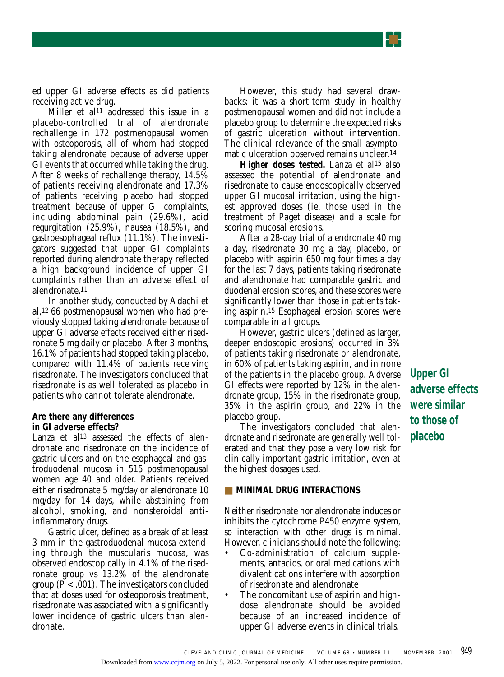ed upper GI adverse effects as did patients receiving active drug.

Miller et al<sup>11</sup> addressed this issue in a placebo-controlled trial of alendronate rechallenge in 172 postmenopausal women with osteoporosis, all of whom had stopped taking alendronate because of adverse upper GI events that occurred while taking the drug. After 8 weeks of rechallenge therapy, 14.5% of patients receiving alendronate and 17.3% of patients receiving placebo had stopped treatment because of upper GI complaints, including abdominal pain (29.6%), acid regurgitation (25.9%), nausea (18.5%), and gastroesophageal reflux (11.1%). The investigators suggested that upper GI complaints reported during alendronate therapy reflected a high background incidence of upper GI complaints rather than an adverse effect of alendronate.11

In another study, conducted by Adachi et al,12 66 postmenopausal women who had previously stopped taking alendronate because of upper GI adverse effects received either risedronate 5 mg daily or placebo. After 3 months, 16.1% of patients had stopped taking placebo, compared with 11.4% of patients receiving risedronate. The investigators concluded that risedronate is as well tolerated as placebo in patients who cannot tolerate alendronate.

#### **Are there any differences**

#### **in GI adverse effects?**

Lanza et al<sup>13</sup> assessed the effects of alendronate and risedronate on the incidence of gastric ulcers and on the esophageal and gastroduodenal mucosa in 515 postmenopausal women age 40 and older. Patients received either risedronate 5 mg/day or alendronate 10 mg/day for 14 days, while abstaining from alcohol, smoking, and nonsteroidal antiinflammatory drugs.

Gastric ulcer, defined as a break of at least 3 mm in the gastroduodenal mucosa extending through the muscularis mucosa, was observed endoscopically in 4.1% of the risedronate group vs 13.2% of the alendronate group (*P* < .001). The investigators concluded that at doses used for osteoporosis treatment, risedronate was associated with a significantly lower incidence of gastric ulcers than alendronate.

However, this study had several drawbacks: it was a short-term study in healthy postmenopausal women and did not include a placebo group to determine the expected risks of gastric ulceration without intervention. The clinical relevance of the small asymptomatic ulceration observed remains unclear.14

Higher doses tested. Lanza et al<sup>15</sup> also assessed the potential of alendronate and risedronate to cause endoscopically observed upper GI mucosal irritation, using the highest approved doses (ie, those used in the treatment of Paget disease) and a scale for scoring mucosal erosions.

After a 28-day trial of alendronate 40 mg a day, risedronate 30 mg a day, placebo, or placebo with aspirin 650 mg four times a day for the last 7 days, patients taking risedronate and alendronate had comparable gastric and duodenal erosion scores, and these scores were significantly lower than those in patients taking aspirin.15 Esophageal erosion scores were comparable in all groups.

However, gastric ulcers (defined as larger, deeper endoscopic erosions) occurred in 3% of patients taking risedronate or alendronate, in 60% of patients taking aspirin, and in none of the patients in the placebo group. Adverse GI effects were reported by 12% in the alendronate group, 15% in the risedronate group, 35% in the aspirin group, and 22% in the placebo group.

The investigators concluded that alendronate and risedronate are generally well tolerated and that they pose a very low risk for clinically important gastric irritation, even at the highest dosages used.

#### ■ **MINIMAL DRUG INTERACTIONS**

Neither risedronate nor alendronate induces or inhibits the cytochrome P450 enzyme system, so interaction with other drugs is minimal. However, clinicians should note the following:

- Co-administration of calcium supplements, antacids, or oral medications with divalent cations interfere with absorption of risedronate and alendronate
- The concomitant use of aspirin and highdose alendronate should be avoided because of an increased incidence of upper GI adverse events in clinical trials.

**Upper GI adverse effects were similar to those of placebo**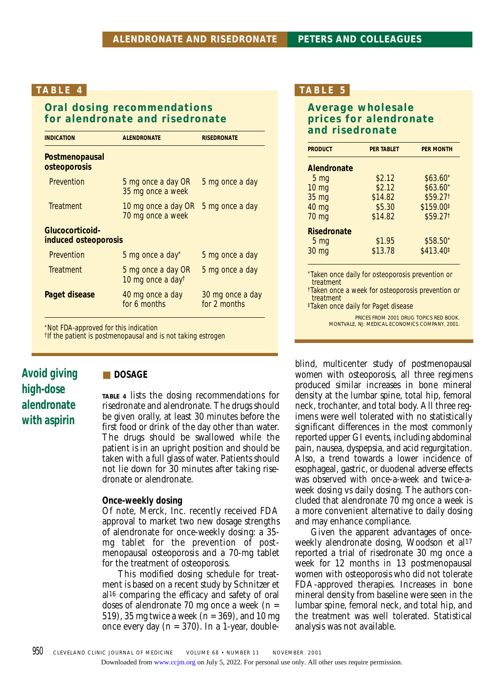# **Oral dosing recommendations for alendronate and risedronate**

| <b>INDICATION</b>                       | <b>ALENDRONATE</b>                       | <b>RISEDRONATE</b>               |
|-----------------------------------------|------------------------------------------|----------------------------------|
| Postmenopausal<br>osteoporosis          |                                          |                                  |
| Prevention                              | 5 mg once a day OR<br>35 mg once a week  | 5 mg once a day                  |
| Treatment                               | 10 mg once a day OR<br>70 mg once a week | 5 mg once a day                  |
| Glucocorticoid-<br>induced osteoporosis |                                          |                                  |
| Prevention                              | 5 mg once a day*                         | 5 mg once a day                  |
| <b>Treatment</b>                        | 5 mg once a day OR<br>10 mg once a dayt  | 5 mg once a day                  |
| Paget disease                           | 40 mg once a day<br>for 6 months         | 30 mg once a day<br>for 2 months |

\*Not FDA-approved for this indication

†If the patient is postmenopausal and is not taking estrogen

# **Avoid giving high-dose alendronate with aspirin**

### ■ **DOSAGE**

**TABLE 4** lists the dosing recommendations for risedronate and alendronate. The drugs should be given orally, at least 30 minutes before the first food or drink of the day other than water. The drugs should be swallowed while the patient is in an upright position and should be taken with a full glass of water. Patients should not lie down for 30 minutes after taking risedronate or alendronate.

#### **Once-weekly dosing**

Of note, Merck, Inc. recently received FDA approval to market two new dosage strengths of alendronate for once-weekly dosing: a 35 mg tablet for the prevention of postmenopausal osteoporosis and a 70-mg tablet for the treatment of osteoporosis.

This modified dosing schedule for treatment is based on a recent study by Schnitzer et al16 comparing the efficacy and safety of oral doses of alendronate 70 mg once a week  $(n =$ 519), 35 mg twice a week (n = 369), and 10 mg once every day  $(n = 370)$ . In a 1-year, double-

## **TABLE 5**

# **Average wholesale prices for alendronate and risedronate**

| <b>PRODUCT</b>     | <b>PER TABLET</b> | <b>PER MONTH</b>      |
|--------------------|-------------------|-----------------------|
| Alendronate        |                   |                       |
| 5 <sub>mg</sub>    | \$2.12            | $$63.60*$             |
| $10 \text{ mg}$    | \$2.12            | $$63.60*$             |
| 35 mg              | \$14.82           | \$59.271              |
| 40 mg              | \$5.30            | \$159.00#             |
| 70 mg              | \$14.82           | \$59.271              |
| <b>Risedronate</b> |                   |                       |
| 5 <sub>mg</sub>    | \$1.95            | $$58.50*$             |
| 30 mg              | \$13.78           | \$413.40 <sup>‡</sup> |

\*Taken once daily for osteoporosis prevention or treatment

†Taken once a week for osteoporosis prevention or treatment

‡Taken once daily for Paget disease

PRICES FROM 2001 DRUG TOPICS RED BOOK. MONTVALE, NJ: MEDICAL ECONOMICS COMPANY, 2001.

blind, multicenter study of postmenopausal women with osteoporosis, all three regimens produced similar increases in bone mineral density at the lumbar spine, total hip, femoral neck, trochanter, and total body. All three regimens were well tolerated with no statistically significant differences in the most commonly reported upper GI events, including abdominal pain, nausea, dyspepsia, and acid regurgitation. Also, a trend towards a lower incidence of esophageal, gastric, or duodenal adverse effects was observed with once-a-week and twice-aweek dosing vs daily dosing. The authors concluded that alendronate 70 mg once a week is a more convenient alternative to daily dosing and may enhance compliance.

Given the apparent advantages of onceweekly alendronate dosing, Woodson et al<sup>17</sup> reported a trial of risedronate 30 mg once a week for 12 months in 13 postmenopausal women with osteoporosis who did not tolerate FDA-approved therapies. Increases in bone mineral density from baseline were seen in the lumbar spine, femoral neck, and total hip, and the treatment was well tolerated. Statistical analysis was not available.